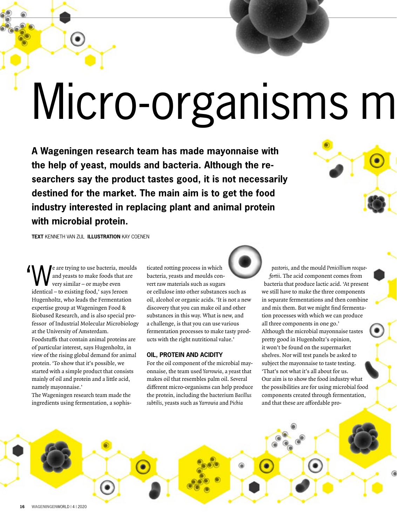# Micro-organisms m

**A Wageningen research team has made mayonnaise with the help of yeast, moulds and bacteria. Although the researchers say the product tastes good, it is not necessarily destined for the market. The main aim is to get the food industry interested in replacing plant and animal protein with microbial protein.** 



**TEXT** KENNETH VAN ZIJL **ILLUSTRATION** KAY COENEN

 $\sum_{\text{and } \text{years}}$  and yeasts to make foods that are<br>interval were similar – or maybe even and yeasts to make foods that are very similar – or maybe even identical – to existing food,' says Jeroen Hugenholtz, who leads the Fermentation expertise group at Wageningen Food & Biobased Research, and is also special professor of Industrial Molecular Microbiology at the University of Amsterdam. Foodstuffs that contain animal proteins are of particular interest, says Hugenholtz, in view of the rising global demand for animal protein. 'To show that it's possible, we started with a simple product that consists mainly of oil and protein and a little acid, namely mayonnaise.'  $\overline{\phantom{a}}$ 

The Wageningen research team made the ingredients using fermentation, a sophisticated rotting process in which bacteria, yeasts and moulds convert raw materials such as sugars or cellulose into other substances such as oil, alcohol or organic acids. 'It is not a new discovery that you can make oil and other substances in this way. What is new, and a challenge, is that you can use various fermentation processes to make tasty products with the right nutritional value.'

### **OIL, PROTEIN AND ACIDITY**

For the oil component of the microbial mayonnaise, the team used Yarrowia, a yeast that makes oil that resembles palm oil. Several different micro-organisms can help produce the protein, including the bacterium Bacillus subtilis, yeasts such as Yarrowia and Pichia